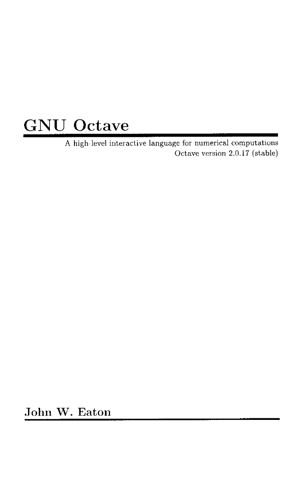## GNU Octave

A high-level interactive language for numerical computations Octave version 2.0.17 (stable)

John W. Eaton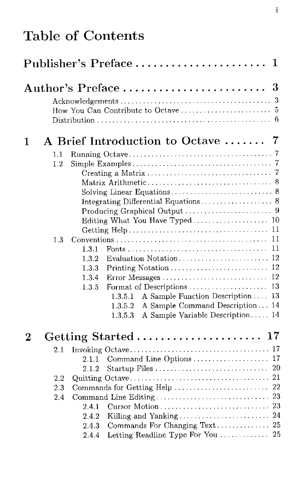## Table of Contents

|                |                | Publisher's Preface                                                       | 1  |
|----------------|----------------|---------------------------------------------------------------------------|----|
|                |                | $\rm{Author's\ Preface \ } \dots \dots \dots \dots \dots \dots \dots \ 3$ |    |
|                |                |                                                                           |    |
|                |                |                                                                           |    |
|                |                |                                                                           |    |
| $\mathbf 1$    |                | A Brief Introduction to Octave  7                                         |    |
|                |                |                                                                           |    |
|                | 1.1<br>$1.2\,$ |                                                                           |    |
|                |                |                                                                           |    |
|                |                |                                                                           |    |
|                |                |                                                                           |    |
|                |                |                                                                           |    |
|                |                |                                                                           |    |
|                |                |                                                                           |    |
|                |                |                                                                           |    |
|                | 1.3            |                                                                           | 11 |
|                |                | 1.3.1                                                                     | 11 |
|                |                | 1.3.2                                                                     |    |
|                |                | $1.3.3\,$                                                                 |    |
|                |                | 1.3.4                                                                     |    |
|                |                | Format of Descriptions<br>1.3.5                                           | 13 |
|                |                | A Sample Function Description<br>1.3.5.1                                  | 13 |
|                |                | A Sample Command Description 14<br>1.3.5.2                                |    |
|                |                | A Sample Variable Description 14<br>1.3.5.3                               |    |
| $\overline{2}$ |                | Getting Started  17                                                       |    |
|                | $2.1\,$        |                                                                           |    |
|                |                | Command Line Options  17<br>2.1.1                                         |    |
|                |                | 2.1.2                                                                     |    |
|                | $2.2\,$        |                                                                           |    |
|                | 2.3            | Commands for Getting Help  22                                             |    |
|                | 2.4            |                                                                           |    |
|                |                | 2.4.1                                                                     |    |
|                |                | 2.4.2                                                                     |    |
|                |                | Commands For Changing Text  25<br>243                                     |    |
|                |                | Letting Readline Type For You  25<br>2.4.4                                |    |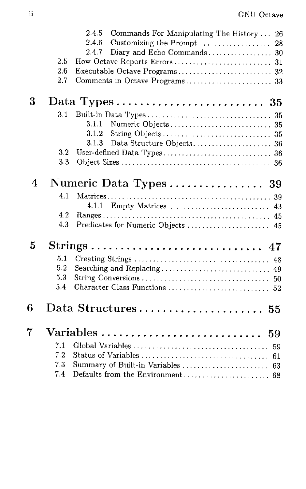|   | 2.5<br>2.6<br>2.7 | 2.4.5<br>Commands For Manipulating The History  26<br>2.4.6<br>Customizing the Prompt<br>28<br>2.4.7 |
|---|-------------------|------------------------------------------------------------------------------------------------------|
| 3 |                   |                                                                                                      |
|   | 3.1               |                                                                                                      |
|   |                   | 3.1.1                                                                                                |
|   |                   | 3.1.2                                                                                                |
|   |                   | 3.1.3                                                                                                |
|   | 3.2               |                                                                                                      |
|   | 3.3               |                                                                                                      |
| 4 |                   | Numeric Data Types 39                                                                                |
|   | 4.1               |                                                                                                      |
|   |                   | 4.1.1                                                                                                |
|   | 4.2               |                                                                                                      |
|   | 4.3               |                                                                                                      |
| 5 |                   |                                                                                                      |
|   | 5.1               |                                                                                                      |
|   | 5.2               | Searching and Replacing 49                                                                           |
|   | 5.3               |                                                                                                      |
|   | 5.4               |                                                                                                      |
| 6 |                   | Data Structures 55                                                                                   |
| 7 |                   |                                                                                                      |
|   | 7.1               |                                                                                                      |
|   | 7.2               |                                                                                                      |
|   | 7.3               | Summary of Built-in Variables<br>63                                                                  |
|   | 7.4               |                                                                                                      |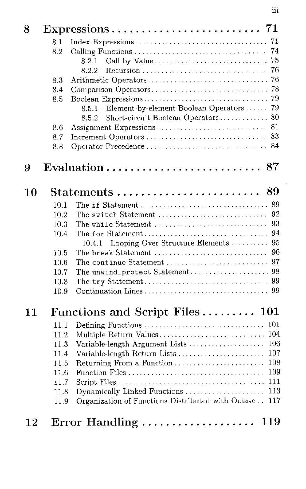| 8  |      |                                                                                      |
|----|------|--------------------------------------------------------------------------------------|
|    | 8.1  | 71                                                                                   |
|    | 8.2  | 74                                                                                   |
|    |      | 75<br>Call by Value<br>$8.2.1\,$                                                     |
|    |      | 76<br>8.2.2<br>Recursion                                                             |
|    | 8.3  | 76<br>Arithmetic Operators                                                           |
|    | 8.4  | 78<br>Comparison Operators                                                           |
|    | 8.5  | 79                                                                                   |
|    |      | Element-by-element Boolean Operators<br>79<br>$8.5.1\,$                              |
|    |      | Short-circuit Boolean Operators<br>80<br>8.5.2                                       |
|    | 8.6  | 81<br>Assignment Expressions                                                         |
|    | 8.7  | 83                                                                                   |
|    | 8.8  | Operator Precedence<br>84                                                            |
| 9  |      | 87                                                                                   |
| 10 |      | 89<br>$\operatorname{Statements}\, \ldots \ldots \ldots \ldots \ldots \ldots \ldots$ |
|    | 10.1 |                                                                                      |
|    | 10.2 | 92<br>The switch Statement                                                           |
|    | 10.3 | 93<br>The while Statement                                                            |
|    | 10.4 | 94                                                                                   |
|    |      | Looping Over Structure Elements<br>95<br>10.4.1                                      |
|    | 10.5 | The break Statement $\dots \dots \dots \dots \dots \dots \dots \dots \dots$<br>96    |
|    | 10.6 | 97<br>The continue Statement                                                         |
|    | 10.7 |                                                                                      |
|    | 10.8 |                                                                                      |
|    | 10.9 |                                                                                      |
| 11 |      | Functions and Script Files 101                                                       |
|    | 11.1 | Defining Functions<br>101                                                            |
|    | 11.2 | 104<br>Multiple Return Values                                                        |
|    | 11.3 | 106<br>Variable-length Argument Lists                                                |
|    | 11.4 | Variable-length Return Lists<br>107                                                  |
|    | 11.5 | 108<br>Returning From a Function                                                     |
|    | 11.6 | 109                                                                                  |
|    | 11.7 | 111                                                                                  |
|    | 11.8 | Dynamically Linked Functions<br>113                                                  |
|    | 11.9 | Organization of Functions Distributed with Octave<br>117                             |
| 12 |      | Error Handling  119                                                                  |

iii

 $\hat{\boldsymbol{\gamma}}$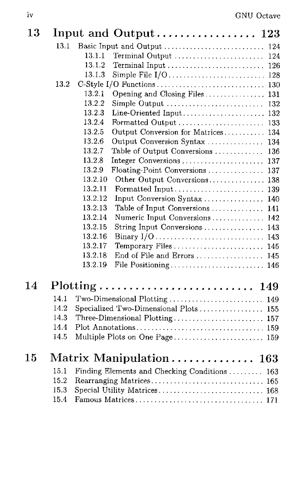| 13     |      |                                                                               |  |
|--------|------|-------------------------------------------------------------------------------|--|
|        | 13.1 |                                                                               |  |
|        |      | 13.1.1<br>Terminal Output<br>124                                              |  |
|        |      | 13.1.2<br>Terminal Input  126                                                 |  |
|        |      | 13.1.3                                                                        |  |
|        | 13.2 |                                                                               |  |
|        |      | 13.2.1<br>Opening and Closing Files  131                                      |  |
|        |      | 13.2.2<br>Simple Output<br>132                                                |  |
|        |      | 13.2.3                                                                        |  |
|        |      | 13.2.4                                                                        |  |
|        |      | 13.2.5<br>Output Conversion for Matrices 134                                  |  |
|        |      | 13.2.6<br>Output Conversion Syntax  134                                       |  |
|        |      | 13.2.7<br>Table of Output Conversions  136                                    |  |
|        |      | 13.2.8<br>Integer Conversions  137                                            |  |
|        |      | 13.2.9<br>Floating-Point Conversions  137                                     |  |
|        |      | 13.2.10<br>Other Output Conversions 138                                       |  |
|        |      | 13.2.11                                                                       |  |
|        |      | 13.2.12<br>Input Conversion Syntax  140                                       |  |
|        |      | 13.2.13<br>Table of Input Conversions  141                                    |  |
|        |      | 13.2.14<br>Numeric Input Conversions 142<br>13.2.15                           |  |
|        |      | String Input Conversions  143<br>13.2.16                                      |  |
|        |      | 13.2.17                                                                       |  |
|        |      | Temporary Files  145<br>13.2.18<br>End of File and Errors  145                |  |
|        |      | 13.2.19<br>File Positioning 146                                               |  |
|        |      |                                                                               |  |
| 14     |      | $Plotting \ldots \ldots \ldots \ldots \ldots \ldots \ldots \ldots \ldots 149$ |  |
|        | 14.1 | Two-Dimensional Plotting  149                                                 |  |
|        | 14.2 | Specialized Two-Dimensional Plots  155                                        |  |
|        | 14.3 |                                                                               |  |
|        | 14.4 |                                                                               |  |
|        | 14.5 |                                                                               |  |
| $15\,$ |      | Matrix Manipulation 163                                                       |  |
|        | 15.1 | Finding Elements and Checking Conditions  163                                 |  |
|        | 15.2 |                                                                               |  |
|        | 15.3 |                                                                               |  |
|        | 15.4 |                                                                               |  |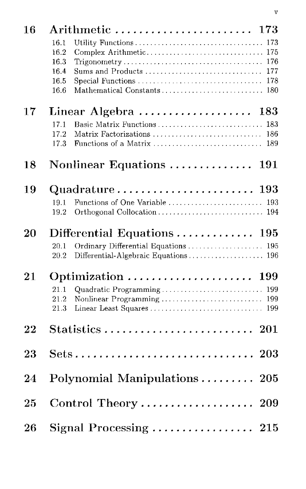| 16 | ${\rm Arithmetic} \; \ldots \ldots \ldots \ldots \ldots \ldots \; 173$ |
|----|------------------------------------------------------------------------|
|    | Utility Functions<br>16.1<br>173                                       |
|    | Complex Arithmetic 175<br>16.2                                         |
|    | 16.3<br>176                                                            |
|    | 16.4<br>Sums and Products<br>177                                       |
|    | 16.5<br>Special Functions<br>178<br>16.6                               |
|    |                                                                        |
| 17 | Linear Algebra<br>183                                                  |
|    | Basic Matrix Functions  183<br>17.1                                    |
|    | 17.2<br>Matrix Factorizations<br>186                                   |
|    | 17.3<br>189                                                            |
| 18 | Nonlinear Equations<br><b>191</b>                                      |
|    |                                                                        |
| 19 | $\mathrm{Quadrature}\dots\dots\dots\dots\dots\dots\dots\ 193$          |
|    | 19.1                                                                   |
|    | 19.2                                                                   |
| 20 | Differential Equations $\ldots \ldots \ldots \ldots 195$               |
|    | Ordinary Differential Equations<br>20.1<br>195                         |
|    | Differential-Algebraic Equations 196<br>20.2                           |
| 21 | 199                                                                    |
|    | 21.1<br>Quadratic Programming<br>199                                   |
|    | Nonlinear Programming<br>21.2<br>199                                   |
|    | 21.3<br>Linear Least Squares<br>199                                    |
| 22 |                                                                        |
| 23 |                                                                        |
|    |                                                                        |
| 24 | Polynomial Manipulations 205                                           |
|    |                                                                        |
| 25 | Control Theory<br>209                                                  |
| 26 | Signal Processing $\ldots \ldots \ldots \ldots \ldots$ 215             |
|    |                                                                        |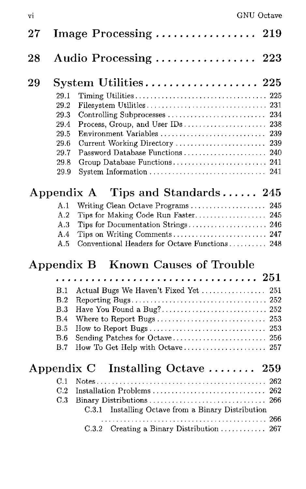| $\bf 27$ |                                                                      | Image Processing  219                                                                                                                                                                            |
|----------|----------------------------------------------------------------------|--------------------------------------------------------------------------------------------------------------------------------------------------------------------------------------------------|
| 28       |                                                                      | Audio Processing  223                                                                                                                                                                            |
| 29       | 29.1<br>29.2<br>29.3<br>29.4<br>29.5<br>29.6<br>29.7<br>29.8<br>29.9 | $\text{System } \text{Utilities} \dots \dots \dots \dots \dots \dots \dots \ 225$<br>Environment Variables  239<br>Current Working Directory<br>239                                              |
|          |                                                                      | Appendix A Tips and Standards 245                                                                                                                                                                |
|          | A.1<br>A.2<br>A.3<br>A.4<br>A.5                                      | Writing Clean Octave Programs  245<br>Tips for Making Code Run Faster 245<br>Tips for Documentation Strings 246<br>Tips on Writing Comments 247<br>Conventional Headers for Octave Functions 248 |
|          |                                                                      | Appendix B Known Causes of Trouble                                                                                                                                                               |
|          | B.1<br>B.2<br>B.3<br>B.4<br>B.5<br>B.6<br>B.7                        | . 251<br>Actual Bugs We Haven't Fixed Yet  251<br>Where to Report Bugs  253<br>How To Get Help with Octave 257                                                                                   |
|          |                                                                      | Appendix C Installing Octave  259                                                                                                                                                                |
|          | C.1<br>C.2<br>C.3                                                    | 262<br>Installation Problems  262<br>Installing Octave from a Binary Distribution<br>$\rm C.3.1$<br>C.3.2 Creating a Binary Distribution  267                                                    |